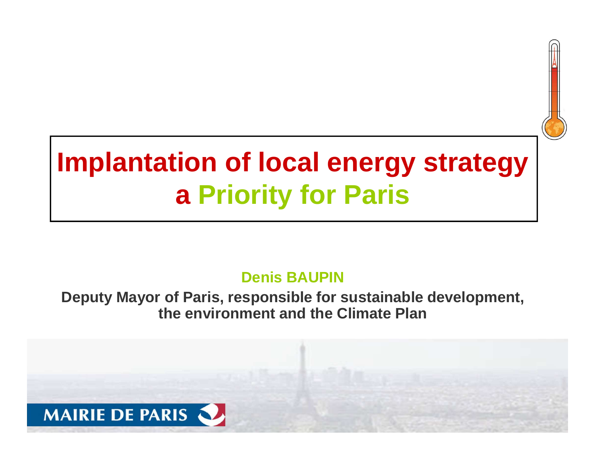# **Implantation of local energy strategya Priority for Paris**

#### **Denis BAUPIN**

#### **Deputy Mayor of Paris, responsible for sustainable development, the environment and the Climate Plan**

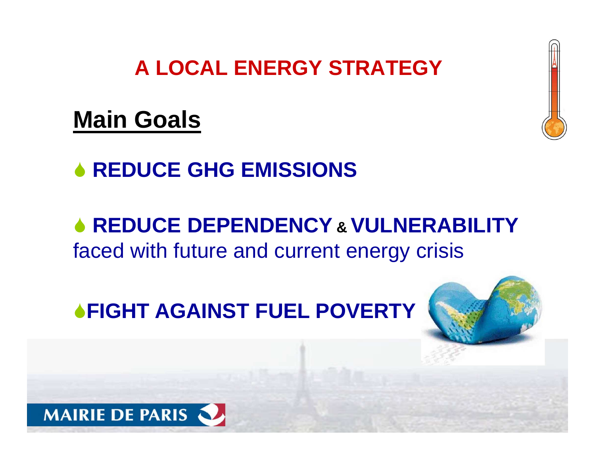#### **A LOCAL ENERGY STRATEGY**

# **Main Goals**

# **◆ REDUCE GHG EMISSIONS**

# **REDUCE DEPENDENCY& VULNERABILITY**  faced with future and current energy crisis

# **FIGHT AGAINST FUEL POVERTY**



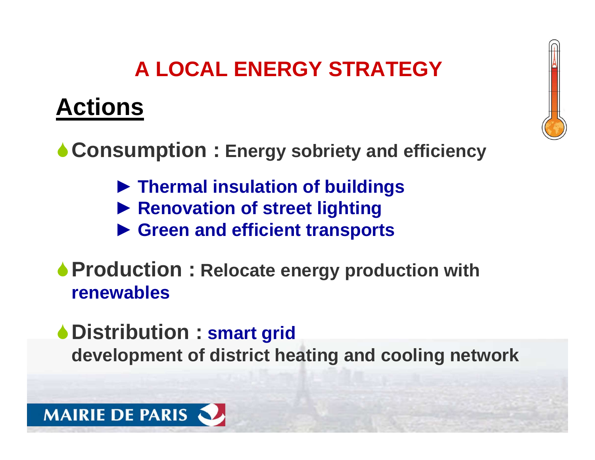# **A LOCAL ENERGY STRATEGY**

# **Actions**

**Consumption : Energy sobriety and efficiency**

- ► **Thermal insulation of buildings**
- ►**Renovation of street lighting**
- ► **Green and efficient transports**
- **Production : Relocate energy production withrenewables**
- **Distribution : smart griddevelopment of district heating and cooling network**

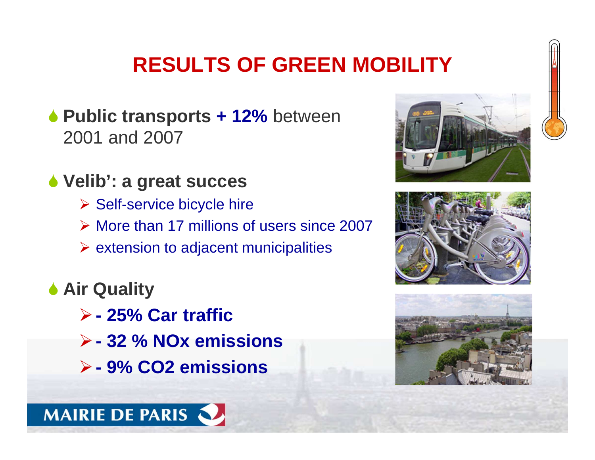# **RESULTS OF GREEN MOBILITY**

- **Public transports + 12%** between 2001 and 2007
- **Velib': a great succes**
	- Self-service bicycle hire
	- More than 17 millions of users since 2007
	- $\triangleright$  extension to adjacent municipalities
- **Air Quality** 
	- -**- 25% Car traffic**

**MAIRIE DE PARIS** 

- -**- 32 % NOx emissions**
- -**- 9% CO2 emissions**





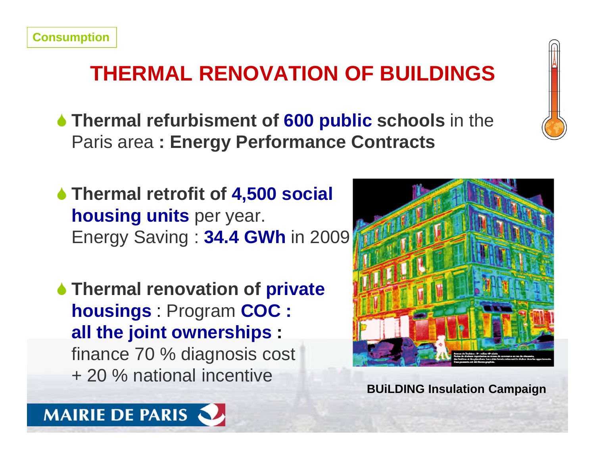# **THERMAL RENOVATION OF BUILDINGS**

- **Thermal refurbisment of 600 public schools** in the Paris area **: Energy Performance Contracts**
- **Thermal retrofit of 4,500 social housing units** per year. Energy Saving : **34.4 GWh** in 2009
- **Thermal renovation of private housings** : Program **COC : all the joint ownerships :**  finance 70 % diagnosis cost+ 20 % national incentive



**BUiLDING Insulation Campaign**

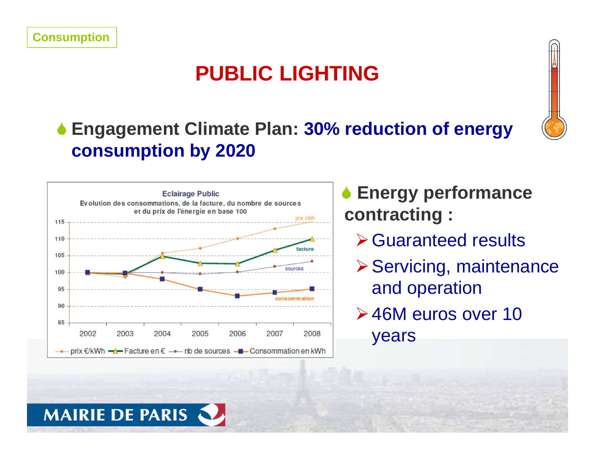## **PUBLIC LIGHTING**

#### **Engagement Climate Plan: 30% reduction of energy consumption by 2020**



- **Energy performance contracting :**
	- **≻ Guaranteed results**
	- **≻ Servicing, maintenance** and operation
	- **≻46M euros over 10**

years



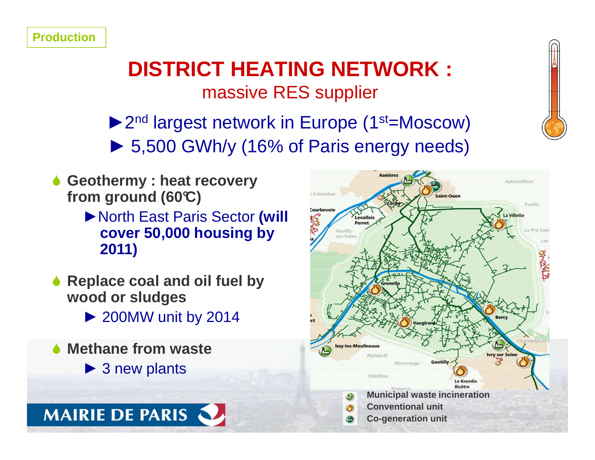#### **DISTRICT HEATING NETWORK :** massive RES supplier

▶ 2<sup>nd</sup> largest network in Europe (1<sup>st</sup>=Moscow) ► 5,500 GWh/y (16% of Paris energy needs)

- **6** Geothermy : heat recovery **from ground (60°C)** 
	- ►North East Paris Sector **(will cover 50,000 housing by 2011)**
- ◆ Replace coal and oil fuel by **wood or sludges**
	- ► 200MW unit by 2014
- **◆ Methane from waste** 
	- ► 3 new plants

**MAIRIE DE PARIS** 



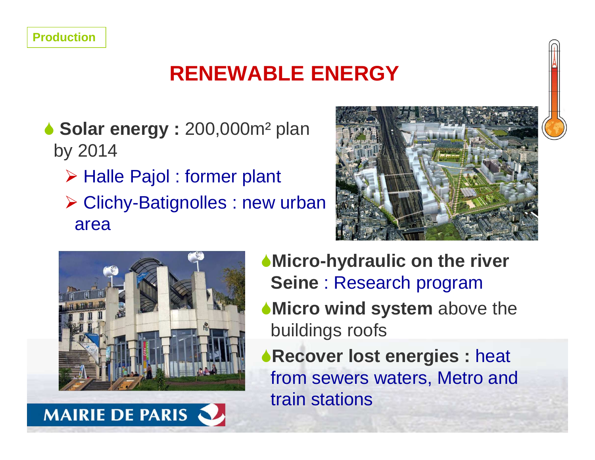## **RENEWABLE ENERGY**

- **Solar energy : 200,000m<sup>2</sup> plan** by 2014
	- > Halle Pajol : former plant
	- ► Clichy-Batignolles : new urban area





**MAIRIE DE PARIS** 



- ◆ **Micro wind system** above the buildings roofs
- **Recover lost energies :** heat from sewers waters, Metro and train stations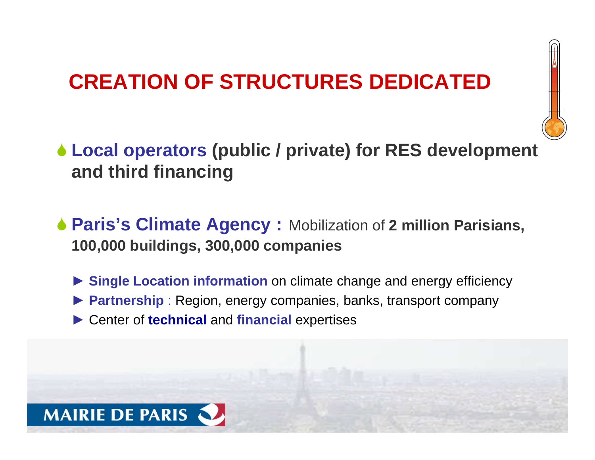### **CREATION OF STRUCTURES DEDICATED**



- **Local operators (public / private) for RES development and third financing**
- **Paris's Climate Agency :** Mobilization of **2 million Parisians, 100,000 buildings, 300,000 companies**
	- ► **Single Location information** on climate change and energy efficiency
	- ▶ **Partnership** : Region, energy companies, banks, transport company
	- ► Center of **technical** and **financial** expertises